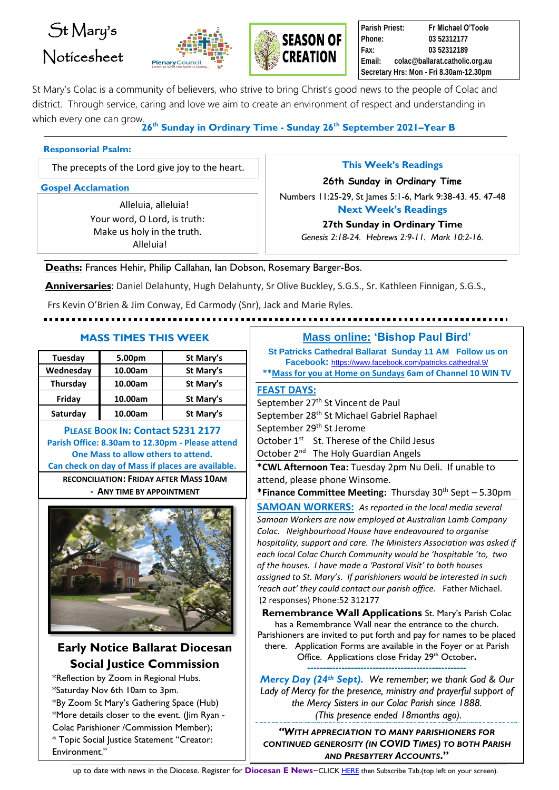# St Mary's Noticesheet





**Parish Priest: Fr Michael O'Toole Phone: 03 52312177 Fax: 03 52312189 Email: colac@ballarat.catholic.org.au Secretary Hrs: Mon - Fri 8.30am-12.30pm**

St Mary's Colac is a community of believers, who strive to bring Christ's good news to the people of Colac and district. Through service, caring and love we aim to create an environment of respect and understanding in which every one can grow.

**26th Sunday in Ordinary Time - Sunday 26th September 2021–Year B**

#### **Responsorial Psalm:**

The precepts of the Lord give joy to the heart.

**Gospel Acclamation**

Alleluia, alleluia! Your word, O Lord, is truth: Make us holy in the truth. Alleluia!

**This Week's Readings**

**26th Sunday in Ordinary Time**

Numbers 11:25-29, St James 5:1-6, Mark 9:38-43. 45. 47-48 **Next Week's Readings** 

**27th Sunday in Ordinary Time**

*Genesis 2:18-24. Hebrews 2:9-11. Mark 10:2-16.*

**Deaths:** Frances Hehir, Philip Callahan, Ian Dobson, Rosemary Barger-Bos.

**Anniversaries**: Daniel Delahunty, Hugh Delahunty, Sr Olive Buckley, S.G.S., Sr. Kathleen Finnigan, S.G.S.,

Frs Kevin O'Brien & Jim Conway, Ed Carmody (Snr), Jack and Marie Ryles.

# 

| Tuesday   | 5.00pm  | St Mary's |
|-----------|---------|-----------|
| Wednesday | 10.00am | St Mary's |
| Thursday  | 10.00am | St Mary's |
| Friday    | 10.00am | St Mary's |
| Saturday  | 10.00am | St Mary's |
|           |         |           |

**PLEASE BOOK IN: Contact 5231 2177 Parish Office: 8.30am to 12.30pm - Please attend One Mass to allow others to attend. Can check on day of Mass if places are available. RECONCILIATION: FRIDAY AFTER MASS 10AM - ANY TIME BY APPOINTMENT**



# **Early Notice Ballarat Diocesan Social Justice Commission**

\*Reflection by Zoom in Regional Hubs. \*Saturday Nov 6th 10am to 3pm. \*By Zoom St Mary's Gathering Space (Hub) \*More details closer to the event. (Jim Ryan - Colac Parishioner /Commission Member); \* Topic Social Justice Statement "Creator: Environment."

### **MASS TIMES THIS WEEK Mass online: 'Bishop Paul Bird'**

- **St Patricks Cathedral Ballarat Sunday 11 AM Follow us on Facebook:** <https://www.facebook.com/patricks.cathedral.9/> **\*\*Mass for you at Home on Sundays 6am of Channel 10 WIN TV**
- **FEAST DAYS:**

September 27<sup>th</sup> St Vincent de Paul September 28<sup>th</sup> St Michael Gabriel Raphael September 29<sup>th</sup> St Jerome October 1<sup>st</sup> St. Therese of the Child Jesus October 2<sup>nd</sup> The Holy Guardian Angels

**\*CWL Afternoon Tea:** Tuesday 2pm Nu Deli. If unable to attend, please phone Winsome.

**\*Finance Committee Meeting:** Thursday 30th Sept – 5.30pm

**SAMOAN WORKERS:** *As reported in the local media several Samoan Workers are now employed at Australian Lamb Company Colac. Neighbourhood House have endeavoured to organise hospitality, support and care. The Ministers Association was asked if each local Colac Church Community would be 'hospitable 'to, two of the houses. I have made a 'Pastoral Visit' to both houses assigned to St. Mary's. If parishioners would be interested in such 'reach out' they could contact our parish office.* Father Michael. (2 responses) Phone:52 312177

**Remembrance Wall Applications** St. Mary's Parish Colac has a Remembrance Wall near the entrance to the church. Parishioners are invited to put forth and pay for names to be placed there. Application Forms are available in the Foyer or at Parish Office. Applications close Friday 29th October**.**

**---------------------------------------------------** *Mercy Day (24th Sept). We remember; we thank God & Our Lady of Mercy for the presence, ministry and prayerful support of the Mercy Sisters in our Colac Parish since 1888. (This presence ended 18months ago).*

*"WITH APPRECIATION TO MANY PARISHIONERS FOR CONTINUED GENEROSITY (IN COVID TIMES) TO BOTH PARISH AND PRESBYTERY ACCOUNTS***."**

up to date with news in the Diocese. Register for Diocesan E News-CLIC[K HERE](https://mailchi.mp/12d25ebf2b43/edition-93-october-8-5158120) then Subscribe Tab.(top left on your screen).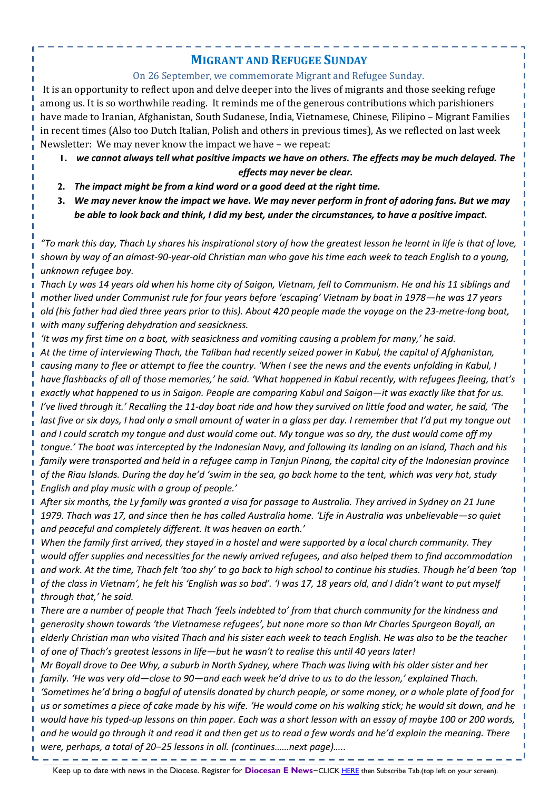## **MIGRANT AND REFUGEE SUNDAY**

#### On 26 September, we commemorate Migrant and Refugee Sunday.

It is an opportunity to reflect upon and delve deeper into the lives of migrants and those seeking refuge among us. It is so worthwhile reading. It reminds me of the generous contributions which parishioners have made to Iranian, Afghanistan, South Sudanese, India, Vietnamese, Chinese, Filipino – Migrant Families in recent times (Also too Dutch Italian, Polish and others in previous times), As we reflected on last week Newsletter: We may never know the impact we have – we repeat:

- **1.** *we cannot always tell what positive impacts we have on others. The effects may be much delayed. The effects may never be clear.*
- **2.** *The impact might be from a kind word or a good deed at the right time.*
- **3.** *We may never know the impact we have. We may never perform in front of adoring fans. But we may be able to look back and think, I did my best, under the circumstances, to have a positive impact.*

*"To mark this day, Thach Ly shares his inspirational story of how the greatest lesson he learnt in life is that of love, shown by way of an almost-90-year-old Christian man who gave his time each week to teach English to a young, unknown refugee boy.*

*Thach Ly was 14 years old when his home city of Saigon, Vietnam, fell to Communism. He and his 11 siblings and mother lived under Communist rule for four years before 'escaping' Vietnam by boat in 1978—he was 17 years old (his father had died three years prior to this). About 420 people made the voyage on the 23-metre-long boat, with many suffering dehydration and seasickness.*

*'It was my first time on a boat, with seasickness and vomiting causing a problem for many,' he said.* 

*At the time of interviewing Thach, the Taliban had recently seized power in Kabul, the capital of Afghanistan, causing many to flee or attempt to flee the country. 'When I see the news and the events unfolding in Kabul, I have flashbacks of all of those memories,' he said. 'What happened in Kabul recently, with refugees fleeing, that's exactly what happened to us in Saigon. People are comparing Kabul and Saigon—it was exactly like that for us. I've lived through it.' Recalling the 11-day boat ride and how they survived on little food and water, he said, 'The*  last five or six days, I had only a small amount of water in a glass per day. I remember that I'd put my tongue out *and I could scratch my tongue and dust would come out. My tongue was so dry, the dust would come off my tongue.' The boat was intercepted by the Indonesian Navy, and following its landing on an island, Thach and his family were transported and held in a refugee camp in Tanjun Pinang, the capital city of the Indonesian province of the Riau Islands. During the day he'd 'swim in the sea, go back home to the tent, which was very hot, study English and play music with a group of people.'*

*After six months, the Ly family was granted a visa for passage to Australia. They arrived in Sydney on 21 June 1979. Thach was 17, and since then he has called Australia home. 'Life in Australia was unbelievable—so quiet and peaceful and completely different. It was heaven on earth.'*

*When the family first arrived, they stayed in a hostel and were supported by a local church community. They would offer supplies and necessities for the newly arrived refugees, and also helped them to find accommodation and work. At the time, Thach felt 'too shy' to go back to high school to continue his studies. Though he'd been 'top of the class in Vietnam', he felt his 'English was so bad'. 'I was 17, 18 years old, and I didn't want to put myself through that,' he said.*

*There are a number of people that Thach 'feels indebted to' from that church community for the kindness and generosity shown towards 'the Vietnamese refugees', but none more so than Mr Charles Spurgeon Boyall, an elderly Christian man who visited Thach and his sister each week to teach English. He was also to be the teacher of one of Thach's greatest lessons in life—but he wasn't to realise this until 40 years later!*

*Mr Boyall drove to Dee Why, a suburb in North Sydney, where Thach was living with his older sister and her family. 'He was very old—close to 90—and each week he'd drive to us to do the lesson,' explained Thach. 'Sometimes he'd bring a bagful of utensils donated by church people, or some money, or a whole plate of food for us or sometimes a piece of cake made by his wife. 'He would come on his walking stick; he would sit down, and he would have his typed-up lessons on thin paper. Each was a short lesson with an essay of maybe 100 or 200 words, and he would go through it and read it and then get us to read a few words and he'd explain the meaning. There were, perhaps, a total of 20–25 lessons in all. (continues……next page)…..*

Keep up to date with news in the Diocese. Register for **Diocesan E News**–CLIC[K HERE](https://mailchi.mp/12d25ebf2b43/edition-93-october-8-5158120) then Subscribe Tab.(top left on your screen).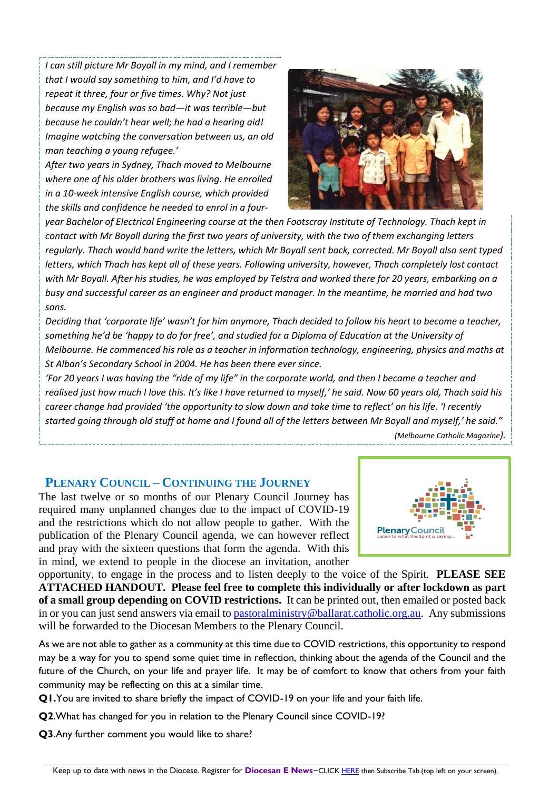*I can still picture Mr Boyall in my mind, and I remember that I would say something to him, and I'd have to repeat it three, four or five times. Why? Not just because my English was so bad—it was terrible—but because he couldn't hear well; he had a hearing aid! Imagine watching the conversation between us, an old man teaching a young refugee.'*

*After two years in Sydney, Thach moved to Melbourne where one of his older brothers was living. He enrolled in a 10-week intensive English course, which provided the skills and confidence he needed to enrol in a four-*



*year Bachelor of Electrical Engineering course at the then Footscray Institute of Technology. Thach kept in contact with Mr Boyall during the first two years of university, with the two of them exchanging letters regularly. Thach would hand write the letters, which Mr Boyall sent back, corrected. Mr Boyall also sent typed letters, which Thach has kept all of these years. Following university, however, Thach completely lost contact with Mr Boyall. After his studies, he was employed by Telstra and worked there for 20 years, embarking on a busy and successful career as an engineer and product manager. In the meantime, he married and had two sons.*

*Deciding that 'corporate life' wasn't for him anymore, Thach decided to follow his heart to become a teacher, something he'd be 'happy to do for free', and studied for a Diploma of Education at the University of Melbourne. He commenced his role as a teacher in information technology, engineering, physics and maths at St Alban's Secondary School in 2004. He has been there ever since.*

*'For 20 years I was having the "ride of my life" in the corporate world, and then I became a teacher and realised just how much I love this. It's like I have returned to myself,' he said. Now 60 years old, Thach said his career change had provided 'the opportunity to slow down and take time to reflect' on his life. 'I recently started going through old stuff at home and I found all of the letters between Mr Boyall and myself,' he said."*

#### **PLENARY COUNCIL – CONTINUING THE JOURNEY**

The last twelve or so months of our Plenary Council Journey has required many unplanned changes due to the impact of COVID-19 and the restrictions which do not allow people to gather. With the publication of the Plenary Council agenda, we can however reflect and pray with the sixteen questions that form the agenda. With this in mind, we extend to people in the diocese an invitation, another



opportunity, to engage in the process and to listen deeply to the voice of the Spirit. **PLEASE SEE ATTACHED HANDOUT. Please feel free to complete this individually or after lockdown as part of a small group depending on COVID restrictions.** It can be printed out, then emailed or posted back in or you can just send answers via email to [pastoralministry@ballarat.catholic.org.au.](mailto:pastoralministry@ballarat.catholic.org.au) Any submissions will be forwarded to the Diocesan Members to the Plenary Council.

As we are not able to gather as a community at this time due to COVID restrictions, this opportunity to respond may be a way for you to spend some quiet time in reflection, thinking about the agenda of the Council and the future of the Church, on your life and prayer life. It may be of comfort to know that others from your faith community may be reflecting on this at a similar time.

**Q1.**You are invited to share briefly the impact of COVID-19 on your life and your faith life.

**Q2**.What has changed for you in relation to the Plenary Council since COVID-19?

**Q3**.Any further comment you would like to share?

*<sup>(</sup>Melbourne Catholic Magazine).*